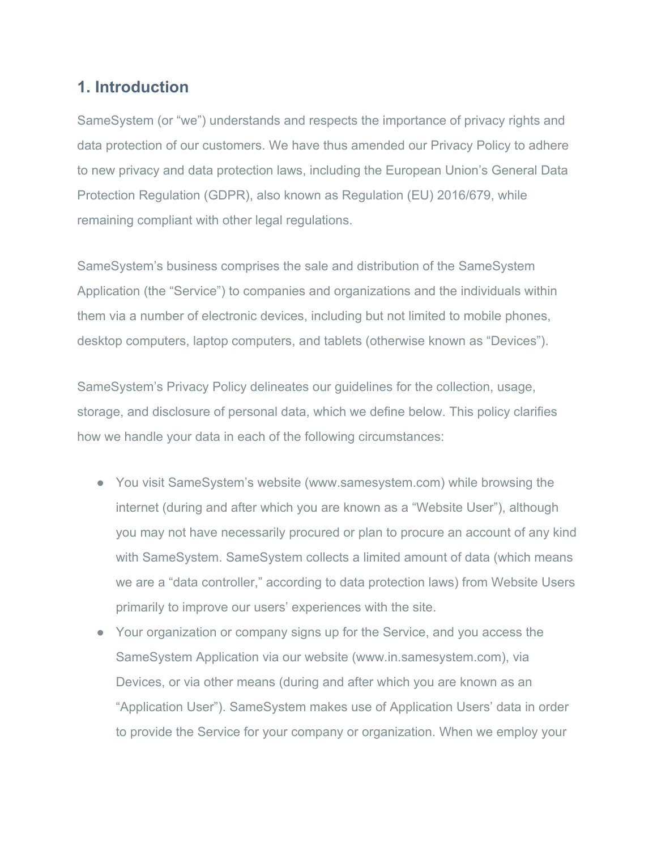# **1. Introduction**

SameSystem (or "we") understands and respects the importance of privacy rights and data protection of our customers. We have thus amended our Privacy Policy to adhere to new privacy and data protection laws, including the European Union's General Data Protection Regulation (GDPR), also known as Regulation (EU) 2016/679, while remaining compliant with other legal regulations.

SameSystem's business comprises the sale and distribution of the SameSystem Application (the "Service") to companies and organizations and the individuals within them via a number of electronic devices, including but not limited to mobile phones, desktop computers, laptop computers, and tablets (otherwise known as "Devices").

SameSystem's Privacy Policy delineates our guidelines for the collection, usage, storage, and disclosure of personal data, which we define below. This policy clarifies how we handle your data in each of the following circumstances:

- You visit SameSystem's website (www.samesystem.com) while browsing the internet (during and after which you are known as a "Website User"), although you may not have necessarily procured or plan to procure an account of any kind with SameSystem. SameSystem collects a limited amount of data (which means we are a "data controller," according to data protection laws) from Website Users primarily to improve our users' experiences with the site.
- Your organization or company signs up for the Service, and you access the SameSystem Application via our website (www.in.samesystem.com), via Devices, or via other means (during and after which you are known as an "Application User"). SameSystem makes use of Application Users' data in order to provide the Service for your company or organization. When we employ your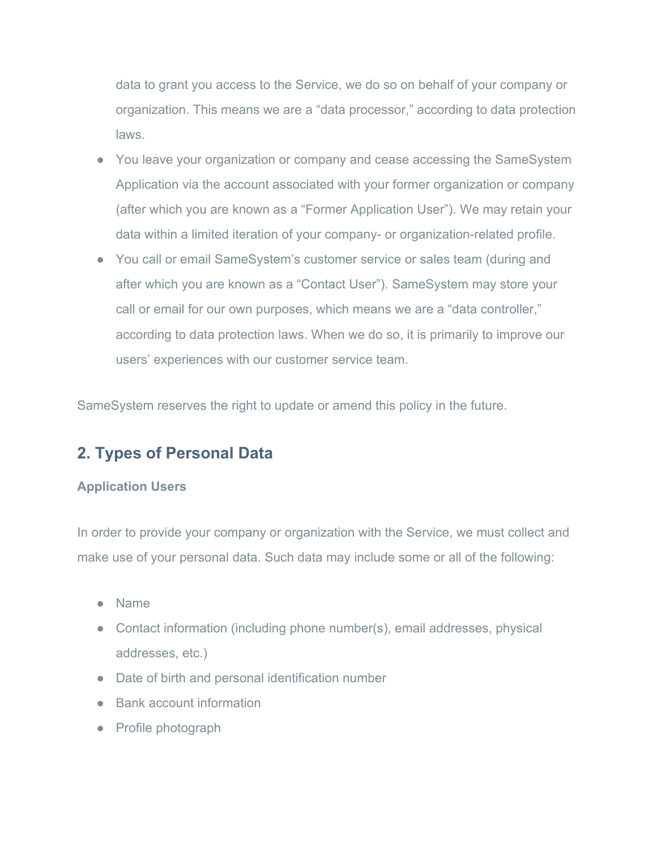data to grant you access to the Service, we do so on behalf of your company or organization. This means we are a "data processor," according to data protection laws.

- You leave your organization or company and cease accessing the SameSystem Application via the account associated with your former organization or company (after which you are known as a "Former Application User"). We may retain your data within a limited iteration of your company- or organization-related profile.
- You call or email SameSystem's customer service or sales team (during and after which you are known as a "Contact User"). SameSystem may store your call or email for our own purposes, which means we are a "data controller," according to data protection laws. When we do so, it is primarily to improve our users' experiences with our customer service team.

SameSystem reserves the right to update or amend this policy in the future.

# **2. Types of Personal Data**

### **Application Users**

In order to provide your company or organization with the Service, we must collect and make use of your personal data. Such data may include some or all of the following:

- Name
- Contact information (including phone number(s), email addresses, physical addresses, etc.)
- Date of birth and personal identification number
- Bank account information
- Profile photograph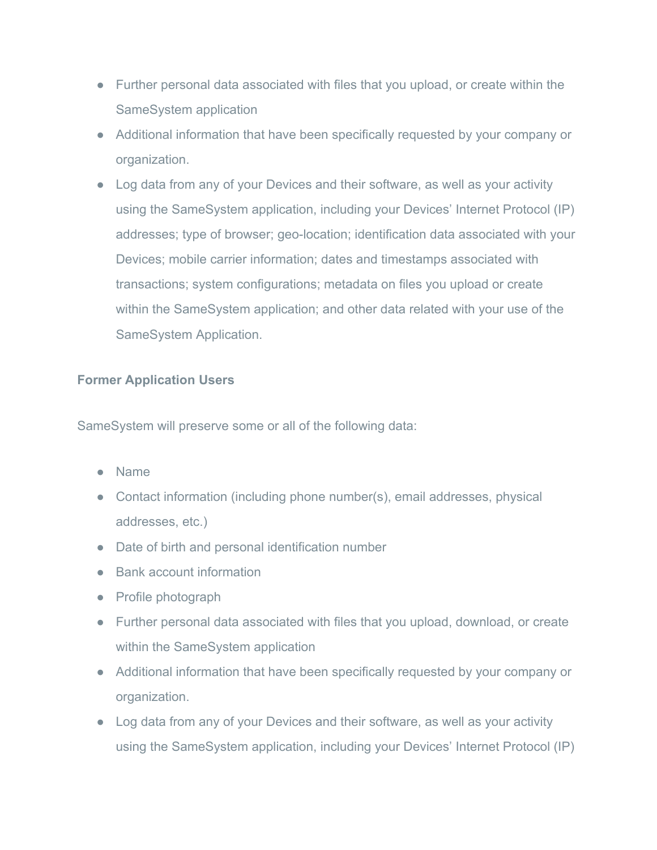- Further personal data associated with files that you upload, or create within the SameSystem application
- Additional information that have been specifically requested by your company or organization.
- Log data from any of your Devices and their software, as well as your activity using the SameSystem application, including your Devices' Internet Protocol (IP) addresses; type of browser; geo-location; identification data associated with your Devices; mobile carrier information; dates and timestamps associated with transactions; system configurations; metadata on files you upload or create within the SameSystem application; and other data related with your use of the SameSystem Application.

### **Former Application Users**

SameSystem will preserve some or all of the following data:

- Name
- Contact information (including phone number(s), email addresses, physical addresses, etc.)
- Date of birth and personal identification number
- Bank account information
- Profile photograph
- Further personal data associated with files that you upload, download, or create within the SameSystem application
- Additional information that have been specifically requested by your company or organization.
- Log data from any of your Devices and their software, as well as your activity using the SameSystem application, including your Devices' Internet Protocol (IP)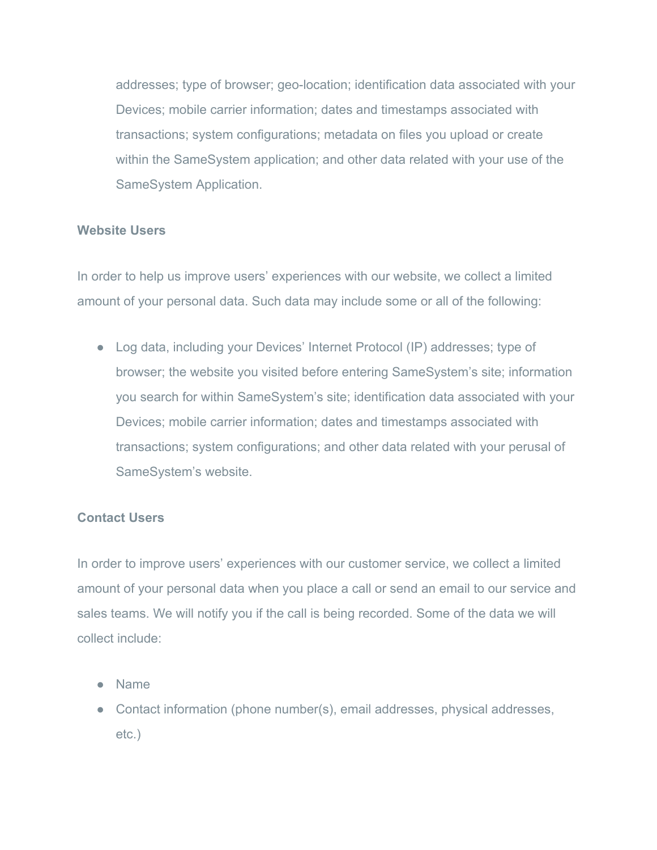addresses; type of browser; geo-location; identification data associated with your Devices; mobile carrier information; dates and timestamps associated with transactions; system configurations; metadata on files you upload or create within the SameSystem application; and other data related with your use of the SameSystem Application.

#### **Website Users**

In order to help us improve users' experiences with our website, we collect a limited amount of your personal data. Such data may include some or all of the following:

● Log data, including your Devices' Internet Protocol (IP) addresses; type of browser; the website you visited before entering SameSystem's site; information you search for within SameSystem's site; identification data associated with your Devices; mobile carrier information; dates and timestamps associated with transactions; system configurations; and other data related with your perusal of SameSystem's website.

#### **Contact Users**

In order to improve users' experiences with our customer service, we collect a limited amount of your personal data when you place a call or send an email to our service and sales teams. We will notify you if the call is being recorded. Some of the data we will collect include:

- Name
- Contact information (phone number(s), email addresses, physical addresses, etc.)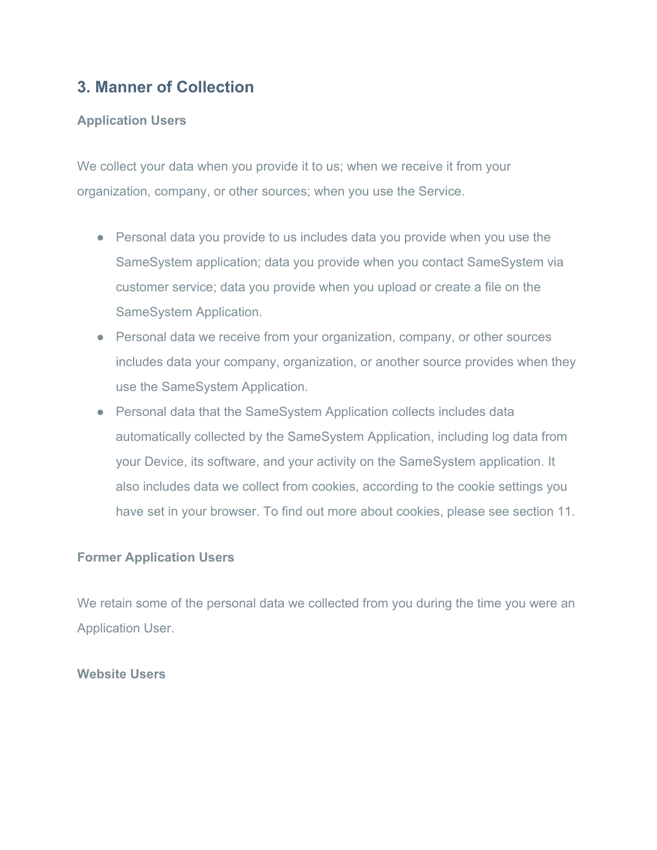# **3. Manner of Collection**

### **Application Users**

We collect your data when you provide it to us; when we receive it from your organization, company, or other sources; when you use the Service.

- Personal data you provide to us includes data you provide when you use the SameSystem application; data you provide when you contact SameSystem via customer service; data you provide when you upload or create a file on the SameSystem Application.
- Personal data we receive from your organization, company, or other sources includes data your company, organization, or another source provides when they use the SameSystem Application.
- Personal data that the SameSystem Application collects includes data automatically collected by the SameSystem Application, including log data from your Device, its software, and your activity on the SameSystem application. It also includes data we collect from cookies, according to the cookie settings you have set in your browser. To find out more about cookies, please see section 11.

### **Former Application Users**

We retain some of the personal data we collected from you during the time you were an Application User.

#### **Website Users**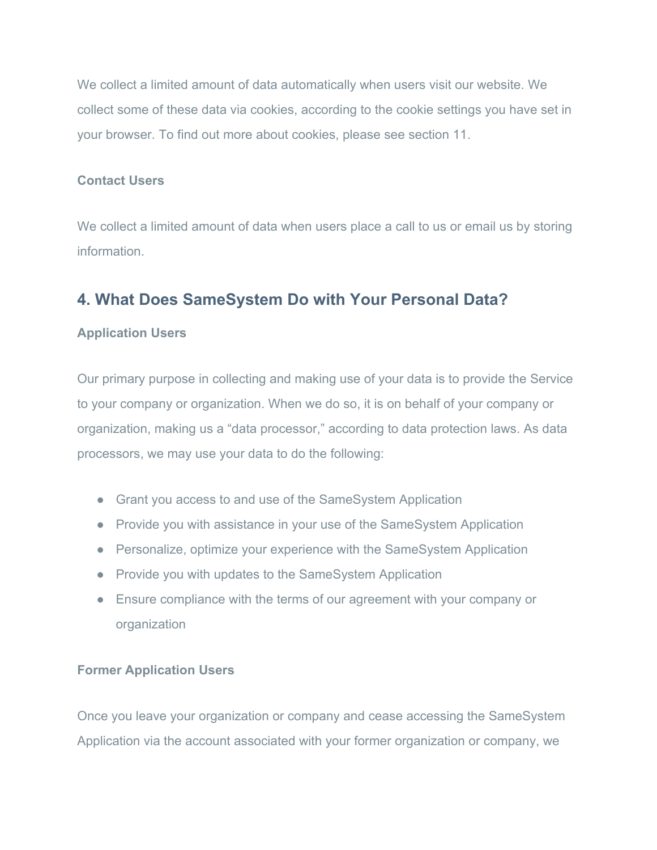We collect a limited amount of data automatically when users visit our website. We collect some of these data via cookies, according to the cookie settings you have set in your browser. To find out more about cookies, please see section 11.

#### **Contact Users**

We collect a limited amount of data when users place a call to us or email us by storing information.

# **4. What Does SameSystem Do with Your Personal Data?**

### **Application Users**

Our primary purpose in collecting and making use of your data is to provide the Service to your company or organization. When we do so, it is on behalf of your company or organization, making us a "data processor," according to data protection laws. As data processors, we may use your data to do the following:

- Grant you access to and use of the SameSystem Application
- Provide you with assistance in your use of the SameSystem Application
- Personalize, optimize your experience with the SameSystem Application
- Provide you with updates to the SameSystem Application
- Ensure compliance with the terms of our agreement with your company or organization

### **Former Application Users**

Once you leave your organization or company and cease accessing the SameSystem Application via the account associated with your former organization or company, we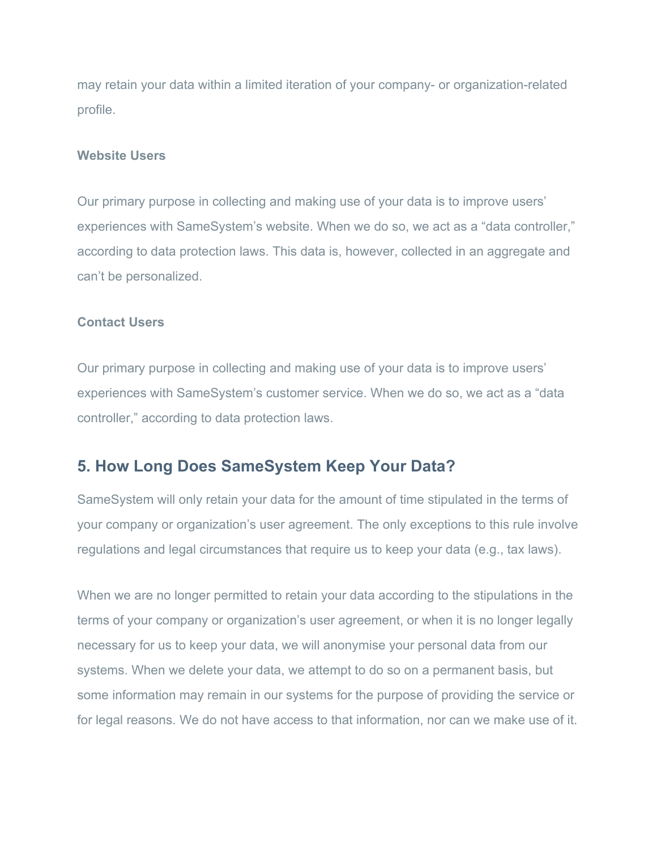may retain your data within a limited iteration of your company- or organization-related profile.

#### **Website Users**

Our primary purpose in collecting and making use of your data is to improve users' experiences with SameSystem's website. When we do so, we act as a "data controller," according to data protection laws. This data is, however, collected in an aggregate and can't be personalized.

#### **Contact Users**

Our primary purpose in collecting and making use of your data is to improve users' experiences with SameSystem's customer service. When we do so, we act as a "data controller," according to data protection laws.

## **5. How Long Does SameSystem Keep Your Data?**

SameSystem will only retain your data for the amount of time stipulated in the terms of your company or organization's user agreement. The only exceptions to this rule involve regulations and legal circumstances that require us to keep your data (e.g., tax laws).

When we are no longer permitted to retain your data according to the stipulations in the terms of your company or organization's user agreement, or when it is no longer legally necessary for us to keep your data, we will anonymise your personal data from our systems. When we delete your data, we attempt to do so on a permanent basis, but some information may remain in our systems for the purpose of providing the service or for legal reasons. We do not have access to that information, nor can we make use of it.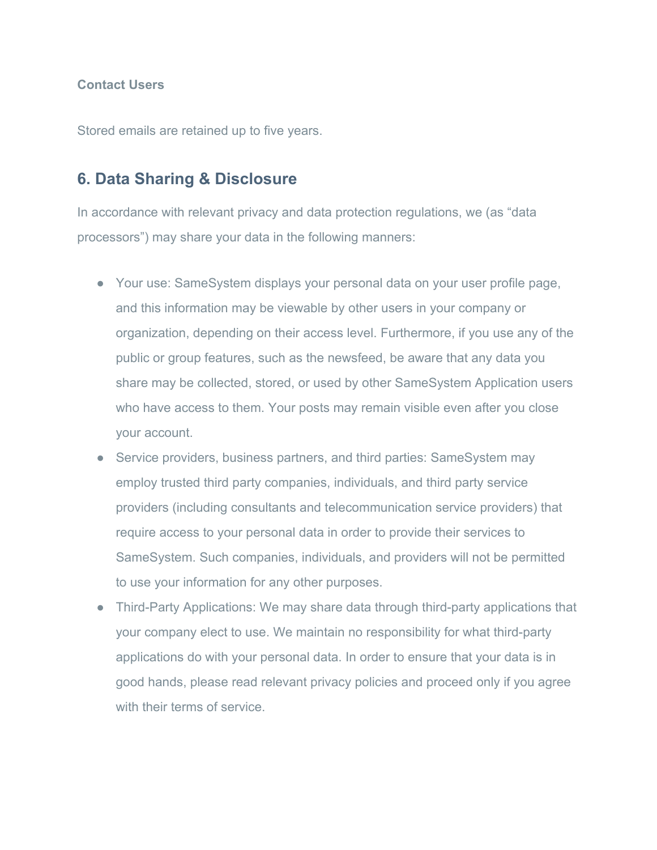#### **Contact Users**

Stored emails are retained up to five years.

### **6. Data Sharing & Disclosure**

In accordance with relevant privacy and data protection regulations, we (as "data processors") may share your data in the following manners:

- Your use: SameSystem displays your personal data on your user profile page, and this information may be viewable by other users in your company or organization, depending on their access level. Furthermore, if you use any of the public or group features, such as the newsfeed, be aware that any data you share may be collected, stored, or used by other SameSystem Application users who have access to them. Your posts may remain visible even after you close your account.
- Service providers, business partners, and third parties: SameSystem may employ trusted third party companies, individuals, and third party service providers (including consultants and telecommunication service providers) that require access to your personal data in order to provide their services to SameSystem. Such companies, individuals, and providers will not be permitted to use your information for any other purposes.
- Third-Party Applications: We may share data through third-party applications that your company elect to use. We maintain no responsibility for what third-party applications do with your personal data. In order to ensure that your data is in good hands, please read relevant privacy policies and proceed only if you agree with their terms of service.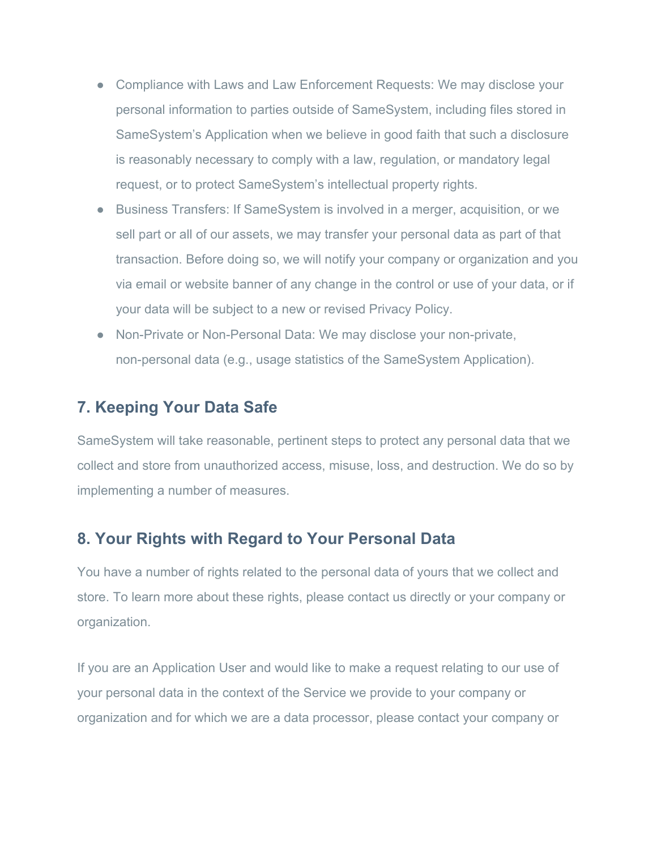- Compliance with Laws and Law Enforcement Requests: We may disclose your personal information to parties outside of SameSystem, including files stored in SameSystem's Application when we believe in good faith that such a disclosure is reasonably necessary to comply with a law, regulation, or mandatory legal request, or to protect SameSystem's intellectual property rights.
- Business Transfers: If SameSystem is involved in a merger, acquisition, or we sell part or all of our assets, we may transfer your personal data as part of that transaction. Before doing so, we will notify your company or organization and you via email or website banner of any change in the control or use of your data, or if your data will be subject to a new or revised Privacy Policy.
- Non-Private or Non-Personal Data: We may disclose your non-private, non-personal data (e.g., usage statistics of the SameSystem Application).

# **7. Keeping Your Data Safe**

SameSystem will take reasonable, pertinent steps to protect any personal data that we collect and store from unauthorized access, misuse, loss, and destruction. We do so by implementing a number of measures.

## **8. Your Rights with Regard to Your Personal Data**

You have a number of rights related to the personal data of yours that we collect and store. To learn more about these rights, please contact us directly or your company or organization.

If you are an Application User and would like to make a request relating to our use of your personal data in the context of the Service we provide to your company or organization and for which we are a data processor, please contact your company or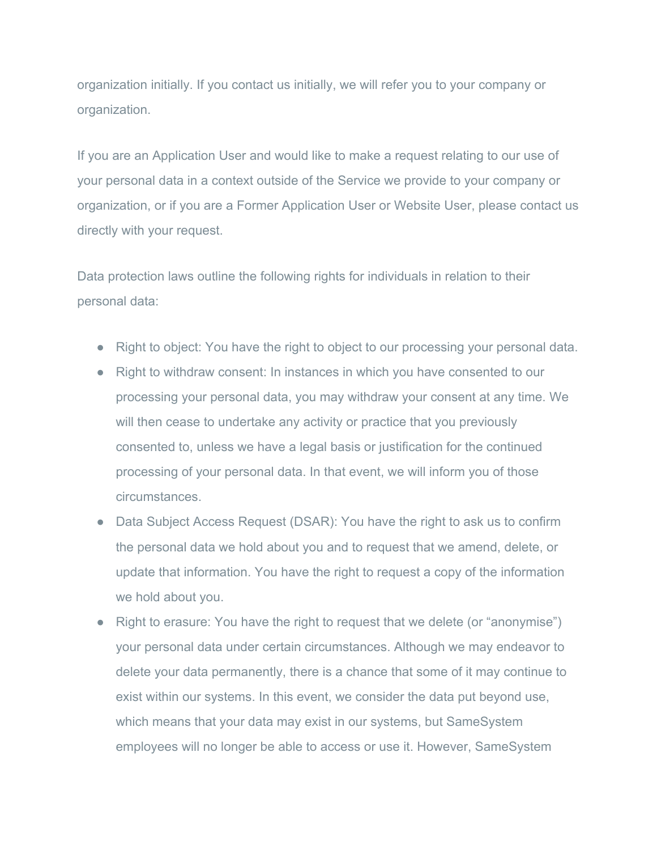organization initially. If you contact us initially, we will refer you to your company or organization.

If you are an Application User and would like to make a request relating to our use of your personal data in a context outside of the Service we provide to your company or organization, or if you are a Former Application User or Website User, please contact us directly with your request.

Data protection laws outline the following rights for individuals in relation to their personal data:

- Right to object: You have the right to object to our processing your personal data.
- Right to withdraw consent: In instances in which you have consented to our processing your personal data, you may withdraw your consent at any time. We will then cease to undertake any activity or practice that you previously consented to, unless we have a legal basis or justification for the continued processing of your personal data. In that event, we will inform you of those circumstances.
- Data Subject Access Request (DSAR): You have the right to ask us to confirm the personal data we hold about you and to request that we amend, delete, or update that information. You have the right to request a copy of the information we hold about you.
- Right to erasure: You have the right to request that we delete (or "anonymise") your personal data under certain circumstances. Although we may endeavor to delete your data permanently, there is a chance that some of it may continue to exist within our systems. In this event, we consider the data put beyond use, which means that your data may exist in our systems, but SameSystem employees will no longer be able to access or use it. However, SameSystem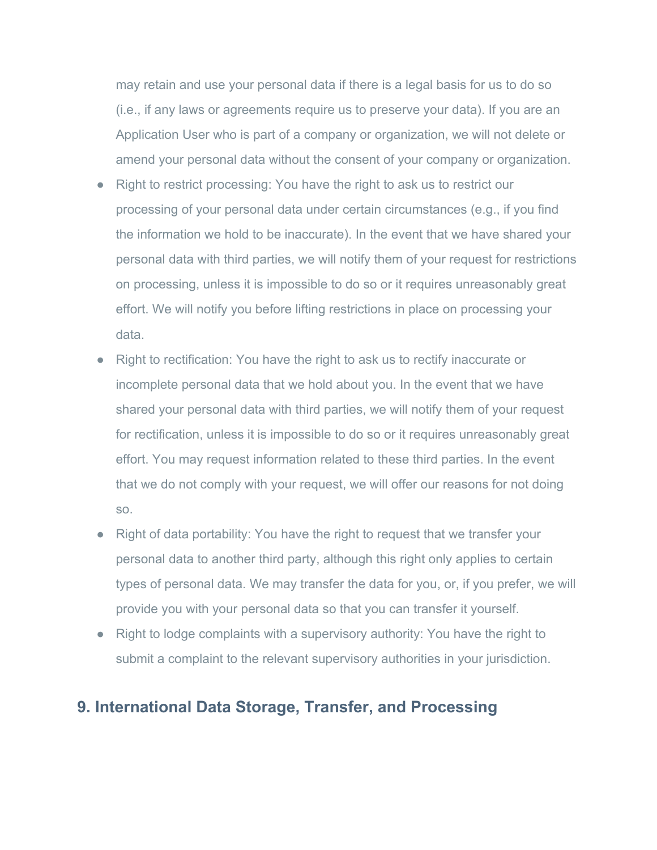may retain and use your personal data if there is a legal basis for us to do so (i.e., if any laws or agreements require us to preserve your data). If you are an Application User who is part of a company or organization, we will not delete or amend your personal data without the consent of your company or organization.

- Right to restrict processing: You have the right to ask us to restrict our processing of your personal data under certain circumstances (e.g., if you find the information we hold to be inaccurate). In the event that we have shared your personal data with third parties, we will notify them of your request for restrictions on processing, unless it is impossible to do so or it requires unreasonably great effort. We will notify you before lifting restrictions in place on processing your data.
- Right to rectification: You have the right to ask us to rectify inaccurate or incomplete personal data that we hold about you. In the event that we have shared your personal data with third parties, we will notify them of your request for rectification, unless it is impossible to do so or it requires unreasonably great effort. You may request information related to these third parties. In the event that we do not comply with your request, we will offer our reasons for not doing so.
- Right of data portability: You have the right to request that we transfer your personal data to another third party, although this right only applies to certain types of personal data. We may transfer the data for you, or, if you prefer, we will provide you with your personal data so that you can transfer it yourself.
- Right to lodge complaints with a supervisory authority: You have the right to submit a complaint to the relevant supervisory authorities in your jurisdiction.

## **9. International Data Storage, Transfer, and Processing**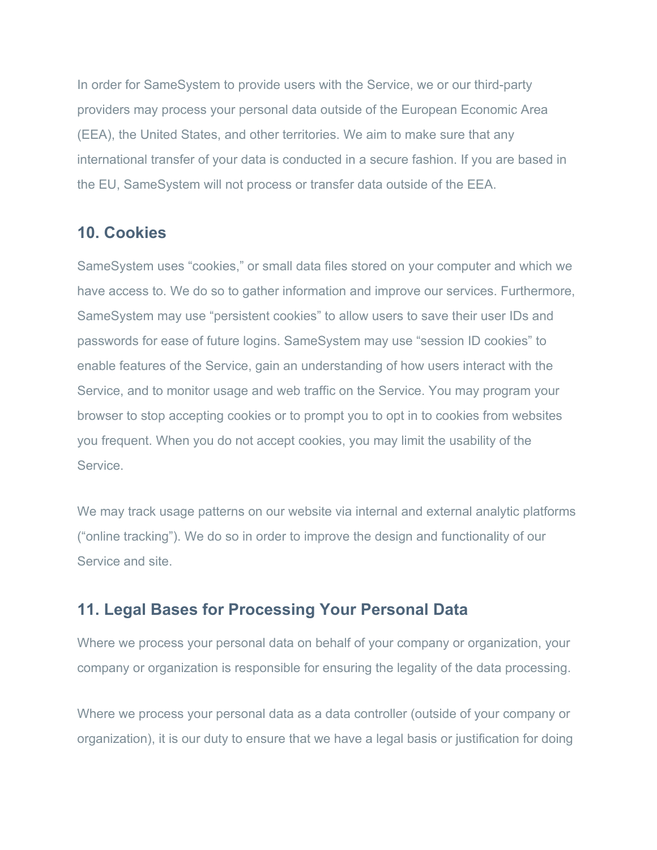In order for SameSystem to provide users with the Service, we or our third-party providers may process your personal data outside of the European Economic Area (EEA), the United States, and other territories. We aim to make sure that any international transfer of your data is conducted in a secure fashion. If you are based in the EU, SameSystem will not process or transfer data outside of the EEA.

## **10. Cookies**

SameSystem uses "cookies," or small data files stored on your computer and which we have access to. We do so to gather information and improve our services. Furthermore, SameSystem may use "persistent cookies" to allow users to save their user IDs and passwords for ease of future logins. SameSystem may use "session ID cookies" to enable features of the Service, gain an understanding of how users interact with the Service, and to monitor usage and web traffic on the Service. You may program your browser to stop accepting cookies or to prompt you to opt in to cookies from websites you frequent. When you do not accept cookies, you may limit the usability of the Service.

We may track usage patterns on our website via internal and external analytic platforms ("online tracking"). We do so in order to improve the design and functionality of our Service and site.

## **11. Legal Bases for Processing Your Personal Data**

Where we process your personal data on behalf of your company or organization, your company or organization is responsible for ensuring the legality of the data processing.

Where we process your personal data as a data controller (outside of your company or organization), it is our duty to ensure that we have a legal basis or justification for doing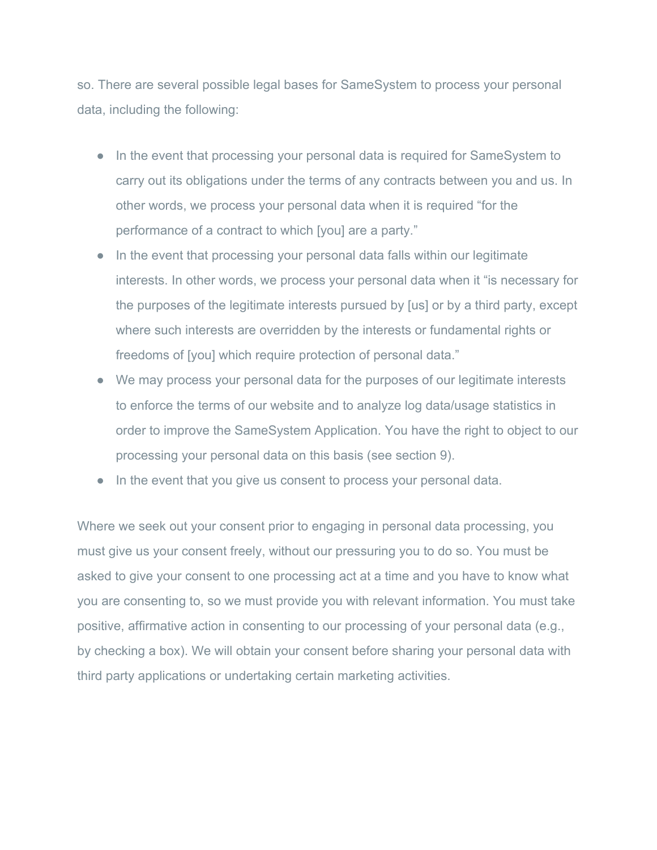so. There are several possible legal bases for SameSystem to process your personal data, including the following:

- In the event that processing your personal data is required for SameSystem to carry out its obligations under the terms of any contracts between you and us. In other words, we process your personal data when it is required "for the performance of a contract to which [you] are a party."
- In the event that processing your personal data falls within our legitimate interests. In other words, we process your personal data when it "is necessary for the purposes of the legitimate interests pursued by [us] or by a third party, except where such interests are overridden by the interests or fundamental rights or freedoms of [you] which require protection of personal data."
- We may process your personal data for the purposes of our legitimate interests to enforce the terms of our website and to analyze log data/usage statistics in order to improve the SameSystem Application. You have the right to object to our processing your personal data on this basis (see section 9).
- In the event that you give us consent to process your personal data.

Where we seek out your consent prior to engaging in personal data processing, you must give us your consent freely, without our pressuring you to do so. You must be asked to give your consent to one processing act at a time and you have to know what you are consenting to, so we must provide you with relevant information. You must take positive, affirmative action in consenting to our processing of your personal data (e.g., by checking a box). We will obtain your consent before sharing your personal data with third party applications or undertaking certain marketing activities.